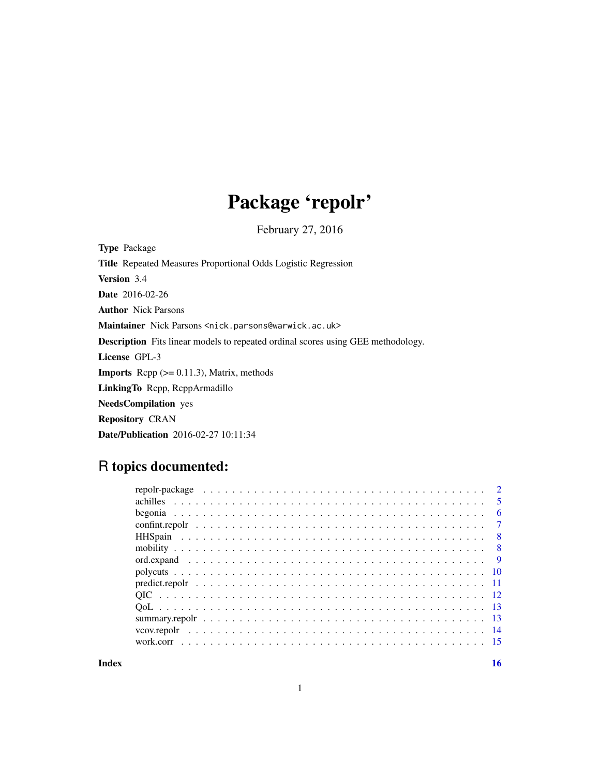# Package 'repolr'

February 27, 2016

| <b>Type Package</b>                                                                     |
|-----------------------------------------------------------------------------------------|
| <b>Title</b> Repeated Measures Proportional Odds Logistic Regression                    |
| <b>Version</b> 3.4                                                                      |
| <b>Date</b> 2016-02-26                                                                  |
| <b>Author</b> Nick Parsons                                                              |
| Maintainer Nick Parsons <nick.parsons@warwick.ac.uk></nick.parsons@warwick.ac.uk>       |
| <b>Description</b> Fits linear models to repeated ordinal scores using GEE methodology. |
| License GPL-3                                                                           |
| <b>Imports</b> Repp $(>= 0.11.3)$ , Matrix, methods                                     |
| Linking To Repp, ReppArmadillo                                                          |
| <b>NeedsCompilation</b> yes                                                             |
| <b>Repository CRAN</b>                                                                  |
| <b>Date/Publication</b> 2016-02-27 10:11:34                                             |

## R topics documented:

| $\overline{5}$            |
|---------------------------|
| - 6                       |
| $\overline{7}$            |
| $\overline{\phantom{0}}8$ |
|                           |
|                           |
|                           |
|                           |
|                           |
|                           |
|                           |
|                           |
|                           |
|                           |

**Index** the contract of the contract of the contract of the contract of the contract of the contract of the contract of the contract of the contract of the contract of the contract of the contract of the contract of the co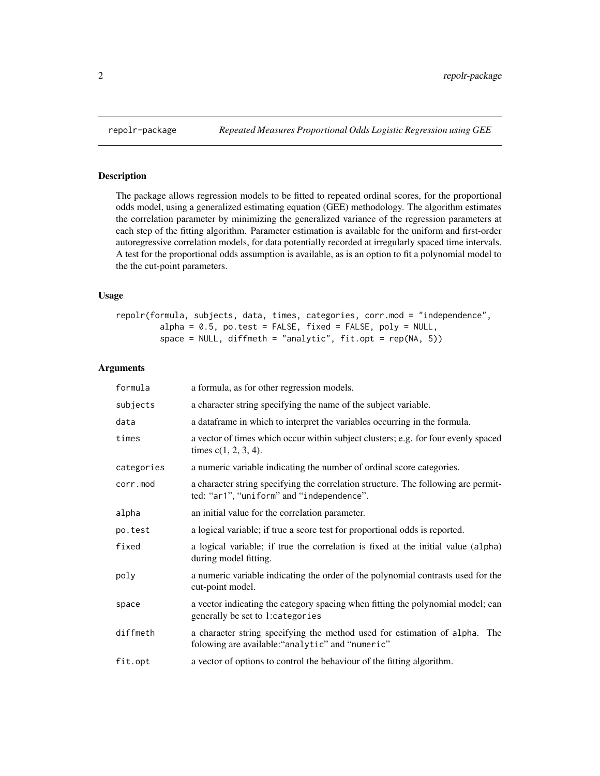The package allows regression models to be fitted to repeated ordinal scores, for the proportional odds model, using a generalized estimating equation (GEE) methodology. The algorithm estimates the correlation parameter by minimizing the generalized variance of the regression parameters at each step of the fitting algorithm. Parameter estimation is available for the uniform and first-order autoregressive correlation models, for data potentially recorded at irregularly spaced time intervals. A test for the proportional odds assumption is available, as is an option to fit a polynomial model to the the cut-point parameters.

#### Usage

```
repolr(formula, subjects, data, times, categories, corr.mod = "independence",
         alpha = 0.5, po.test = FALSE, fixed = FALSE, poly = NULL,
         space = NULL, diffmeth = "analytic", fit.opt = rep(NA, 5))
```
#### Arguments

| formula    | a formula, as for other regression models.                                                                                      |
|------------|---------------------------------------------------------------------------------------------------------------------------------|
| subjects   | a character string specifying the name of the subject variable.                                                                 |
| data       | a dataframe in which to interpret the variables occurring in the formula.                                                       |
| times      | a vector of times which occur within subject clusters; e.g. for four evenly spaced<br>times $c(1, 2, 3, 4)$ .                   |
| categories | a numeric variable indicating the number of ordinal score categories.                                                           |
| corr.mod   | a character string specifying the correlation structure. The following are permit-<br>ted: "ar1", "uniform" and "independence". |
| alpha      | an initial value for the correlation parameter.                                                                                 |
| po.test    | a logical variable; if true a score test for proportional odds is reported.                                                     |
| fixed      | a logical variable; if true the correlation is fixed at the initial value (alpha)<br>during model fitting.                      |
| poly       | a numeric variable indicating the order of the polynomial contrasts used for the<br>cut-point model.                            |
| space      | a vector indicating the category spacing when fitting the polynomial model; can<br>generally be set to 1: categories            |
| diffmeth   | a character string specifying the method used for estimation of alpha. The<br>folowing are available: "analytic" and "numeric"  |
| fit.opt    | a vector of options to control the behaviour of the fitting algorithm.                                                          |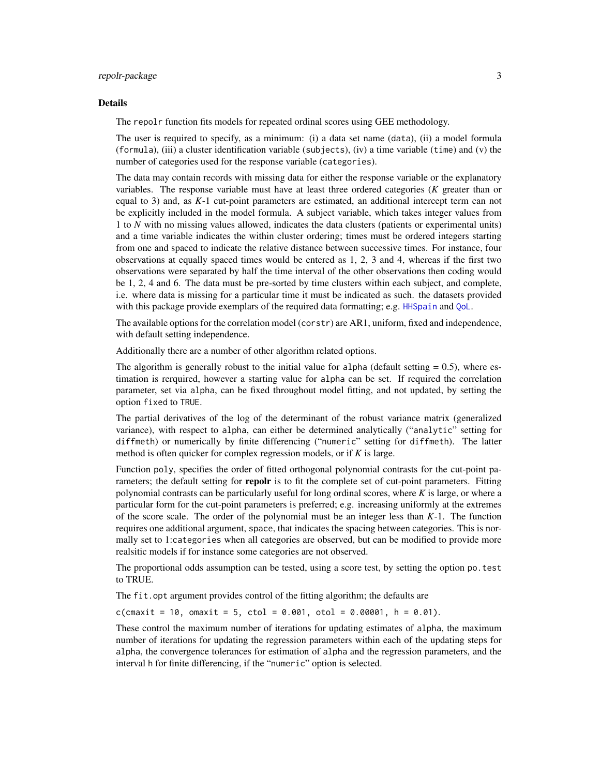#### <span id="page-2-0"></span>repoli-package 3

#### Details

The repolr function fits models for repeated ordinal scores using GEE methodology.

The user is required to specify, as a minimum: (i) a data set name (data), (ii) a model formula (formula), (iii) a cluster identification variable (subjects), (iv) a time variable (time) and (v) the number of categories used for the response variable (categories).

The data may contain records with missing data for either the response variable or the explanatory variables. The response variable must have at least three ordered categories (*K* greater than or equal to 3) and, as *K*-1 cut-point parameters are estimated, an additional intercept term can not be explicitly included in the model formula. A subject variable, which takes integer values from 1 to *N* with no missing values allowed, indicates the data clusters (patients or experimental units) and a time variable indicates the within cluster ordering; times must be ordered integers starting from one and spaced to indicate the relative distance between successive times. For instance, four observations at equally spaced times would be entered as 1, 2, 3 and 4, whereas if the first two observations were separated by half the time interval of the other observations then coding would be 1, 2, 4 and 6. The data must be pre-sorted by time clusters within each subject, and complete, i.e. where data is missing for a particular time it must be indicated as such. the datasets provided with this package provide exemplars of the required data formatting; e.g. [HHSpain](#page-7-1) and [QoL](#page-12-1).

The available options for the correlation model (corstr) are AR1, uniform, fixed and independence, with default setting independence.

Additionally there are a number of other algorithm related options.

The algorithm is generally robust to the initial value for alpha (default setting  $= 0.5$ ), where estimation is rerquired, however a starting value for alpha can be set. If required the correlation parameter, set via alpha, can be fixed throughout model fitting, and not updated, by setting the option fixed to TRUE.

The partial derivatives of the log of the determinant of the robust variance matrix (generalized variance), with respect to alpha, can either be determined analytically ("analytic" setting for diffmeth) or numerically by finite differencing ("numeric" setting for diffmeth). The latter method is often quicker for complex regression models, or if *K* is large.

Function poly, specifies the order of fitted orthogonal polynomial contrasts for the cut-point parameters; the default setting for **repolr** is to fit the complete set of cut-point parameters. Fitting polynomial contrasts can be particularly useful for long ordinal scores, where *K* is large, or where a particular form for the cut-point parameters is preferred; e.g. increasing uniformly at the extremes of the score scale. The order of the polynomial must be an integer less than *K*-1. The function requires one additional argument, space, that indicates the spacing between categories. This is normally set to 1:categories when all categories are observed, but can be modified to provide more realsitic models if for instance some categories are not observed.

The proportional odds assumption can be tested, using a score test, by setting the option po.test to TRUE.

The fit.opt argument provides control of the fitting algorithm; the defaults are

 $c$ (cmaxit = 10, omaxit = 5, ctol = 0.001, otol = 0.00001, h = 0.01).

These control the maximum number of iterations for updating estimates of alpha, the maximum number of iterations for updating the regression parameters within each of the updating steps for alpha, the convergence tolerances for estimation of alpha and the regression parameters, and the interval h for finite differencing, if the "numeric" option is selected.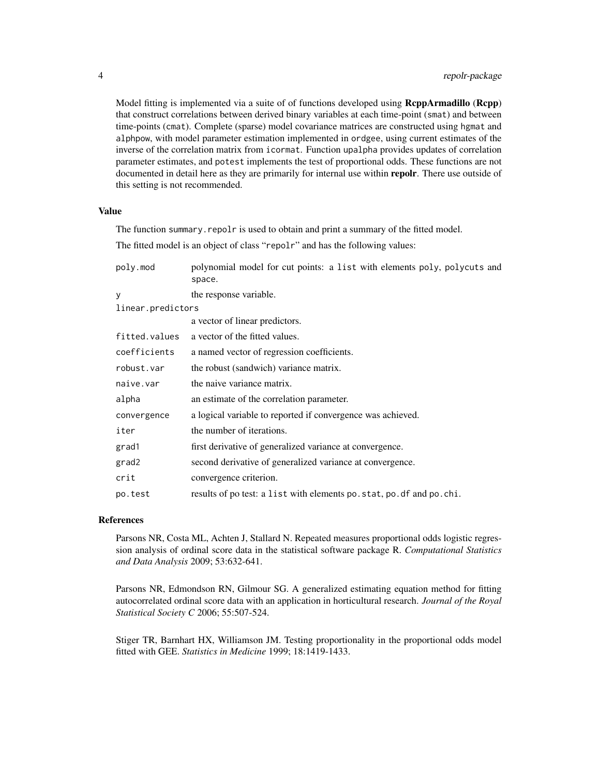Model fitting is implemented via a suite of of functions developed using **ReppArmadillo** (**Repp**) that construct correlations between derived binary variables at each time-point (smat) and between time-points (cmat). Complete (sparse) model covariance matrices are constructed using hgmat and alphpow, with model parameter estimation implemented in ordgee, using current estimates of the inverse of the correlation matrix from icormat. Function upalpha provides updates of correlation parameter estimates, and potest implements the test of proportional odds. These functions are not documented in detail here as they are primarily for internal use within repolr. There use outside of this setting is not recommended.

#### Value

The function summary.repolr is used to obtain and print a summary of the fitted model. The fitted model is an object of class "repolr" and has the following values:

| poly.mod          | polynomial model for cut points: a list with elements poly, polycuts and<br>space. |
|-------------------|------------------------------------------------------------------------------------|
| y                 | the response variable.                                                             |
| linear.predictors |                                                                                    |
|                   | a vector of linear predictors.                                                     |
| fitted.values     | a vector of the fitted values.                                                     |
| coefficients      | a named vector of regression coefficients.                                         |
| robust.var        | the robust (sandwich) variance matrix.                                             |
| naive.var         | the naive variance matrix.                                                         |
| alpha             | an estimate of the correlation parameter.                                          |
| convergence       | a logical variable to reported if convergence was achieved.                        |
| iter              | the number of iterations.                                                          |
| grad1             | first derivative of generalized variance at convergence.                           |
| grad2             | second derivative of generalized variance at convergence.                          |
| crit              | convergence criterion.                                                             |
| po.test           | results of po test: a list with elements po. stat, po. df and po. chi.             |

#### References

Parsons NR, Costa ML, Achten J, Stallard N. Repeated measures proportional odds logistic regression analysis of ordinal score data in the statistical software package R. *Computational Statistics and Data Analysis* 2009; 53:632-641.

Parsons NR, Edmondson RN, Gilmour SG. A generalized estimating equation method for fitting autocorrelated ordinal score data with an application in horticultural research. *Journal of the Royal Statistical Society C* 2006; 55:507-524.

Stiger TR, Barnhart HX, Williamson JM. Testing proportionality in the proportional odds model fitted with GEE. *Statistics in Medicine* 1999; 18:1419-1433.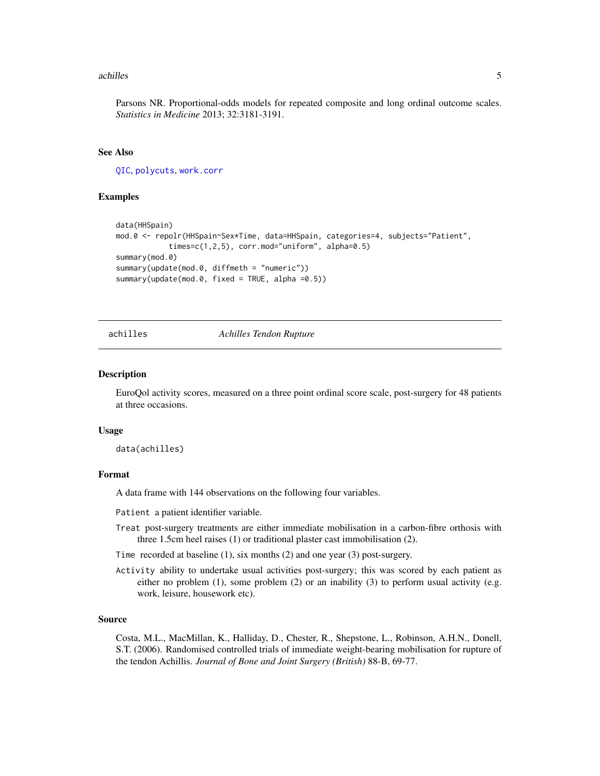#### <span id="page-4-0"></span>achilles 5

Parsons NR. Proportional-odds models for repeated composite and long ordinal outcome scales. *Statistics in Medicine* 2013; 32:3181-3191.

#### See Also

[QIC](#page-11-1), [polycuts](#page-9-1), [work.corr](#page-14-1)

#### Examples

```
data(HHSpain)
mod.0 <- repolr(HHSpain~Sex*Time, data=HHSpain, categories=4, subjects="Patient",
            times=c(1,2,5), corr.mod="uniform", alpha=0.5)
summary(mod.0)
summary(update(mod.0, diffmeth = "numeric"))
summary(update(mod.0, fixed = TRUE, alpha =0.5))
```
#### achilles *Achilles Tendon Rupture*

#### Description

EuroQol activity scores, measured on a three point ordinal score scale, post-surgery for 48 patients at three occasions.

#### Usage

data(achilles)

#### Format

A data frame with 144 observations on the following four variables.

Patient a patient identifier variable.

Treat post-surgery treatments are either immediate mobilisation in a carbon-fibre orthosis with three 1.5cm heel raises (1) or traditional plaster cast immobilisation (2).

Time recorded at baseline (1), six months (2) and one year (3) post-surgery.

Activity ability to undertake usual activities post-surgery; this was scored by each patient as either no problem  $(1)$ , some problem  $(2)$  or an inability  $(3)$  to perform usual activity (e.g. work, leisure, housework etc).

#### Source

Costa, M.L., MacMillan, K., Halliday, D., Chester, R., Shepstone, L., Robinson, A.H.N., Donell, S.T. (2006). Randomised controlled trials of immediate weight-bearing mobilisation for rupture of the tendon Achillis. *Journal of Bone and Joint Surgery (British)* 88-B, 69-77.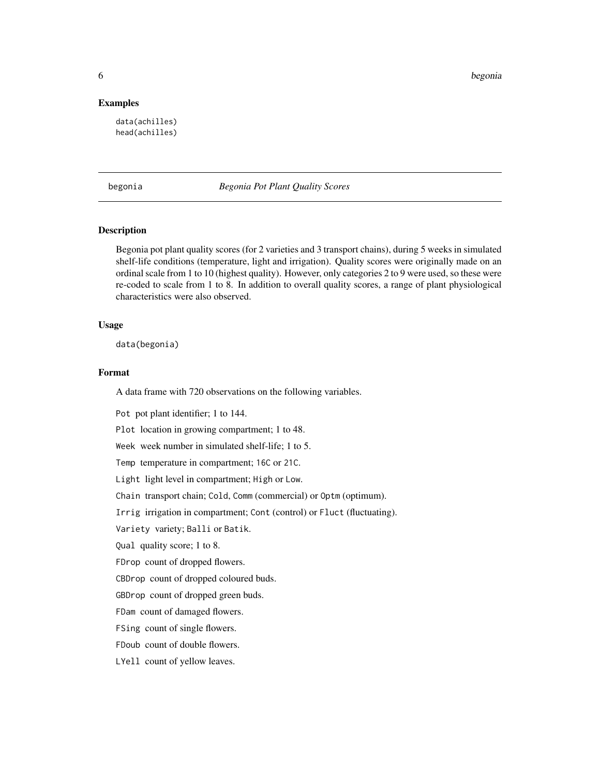<span id="page-5-0"></span>6 begonia

#### Examples

data(achilles) head(achilles)

begonia *Begonia Pot Plant Quality Scores*

#### Description

Begonia pot plant quality scores (for 2 varieties and 3 transport chains), during 5 weeks in simulated shelf-life conditions (temperature, light and irrigation). Quality scores were originally made on an ordinal scale from 1 to 10 (highest quality). However, only categories 2 to 9 were used, so these were re-coded to scale from 1 to 8. In addition to overall quality scores, a range of plant physiological characteristics were also observed.

#### Usage

data(begonia)

#### Format

A data frame with 720 observations on the following variables.

Pot pot plant identifier; 1 to 144.

Plot location in growing compartment; 1 to 48.

Week week number in simulated shelf-life; 1 to 5.

Temp temperature in compartment; 16C or 21C.

Light light level in compartment; High or Low.

Chain transport chain; Cold, Comm (commercial) or Optm (optimum).

Irrig irrigation in compartment; Cont (control) or Fluct (fluctuating).

Variety variety; Balli or Batik.

Qual quality score; 1 to 8.

FDrop count of dropped flowers.

CBDrop count of dropped coloured buds.

GBDrop count of dropped green buds.

FDam count of damaged flowers.

FSing count of single flowers.

FDoub count of double flowers.

LYell count of yellow leaves.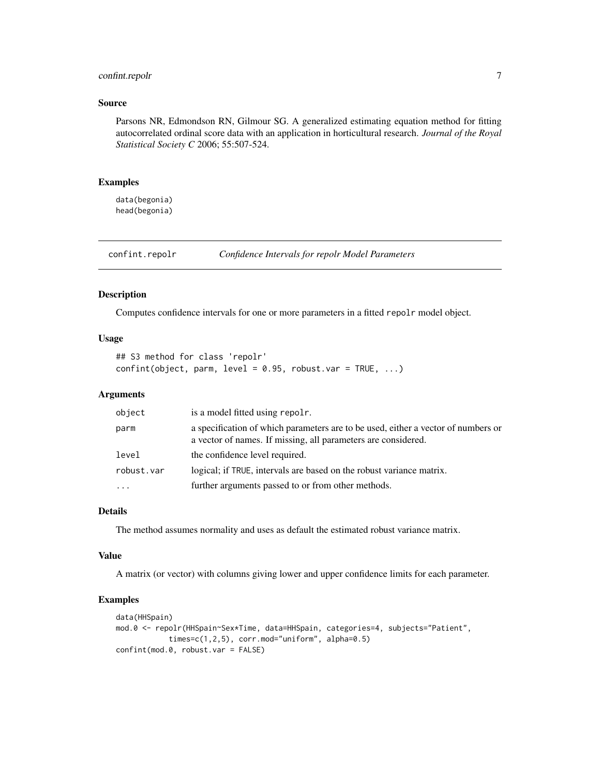#### <span id="page-6-0"></span>confint.repolr 7

#### Source

Parsons NR, Edmondson RN, Gilmour SG. A generalized estimating equation method for fitting autocorrelated ordinal score data with an application in horticultural research. *Journal of the Royal Statistical Society C* 2006; 55:507-524.

#### Examples

data(begonia) head(begonia)

confint.repolr *Confidence Intervals for repolr Model Parameters*

#### Description

Computes confidence intervals for one or more parameters in a fitted repolr model object.

#### Usage

```
## S3 method for class 'repolr'
confint(object, parm, level = 0.95, robust.var = TRUE, ...)
```
#### Arguments

| object     | is a model fitted using repolr.                                                                                                                    |
|------------|----------------------------------------------------------------------------------------------------------------------------------------------------|
| parm       | a specification of which parameters are to be used, either a vector of numbers or<br>a vector of names. If missing, all parameters are considered. |
| level      | the confidence level required.                                                                                                                     |
| robust.var | logical; if TRUE, intervals are based on the robust variance matrix.                                                                               |
| $\ddotsc$  | further arguments passed to or from other methods.                                                                                                 |

#### Details

The method assumes normality and uses as default the estimated robust variance matrix.

#### Value

A matrix (or vector) with columns giving lower and upper confidence limits for each parameter.

```
data(HHSpain)
mod.0 <- repolr(HHSpain~Sex*Time, data=HHSpain, categories=4, subjects="Patient",
           times=c(1,2,5), corr.mod="uniform", alpha=0.5)
confint(mod.0, robust.var = FALSE)
```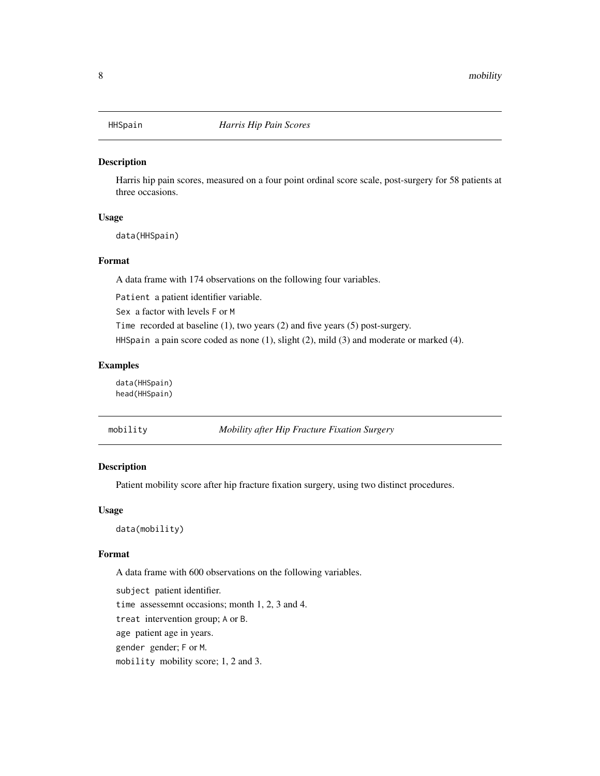<span id="page-7-1"></span><span id="page-7-0"></span>

Harris hip pain scores, measured on a four point ordinal score scale, post-surgery for 58 patients at three occasions.

#### Usage

data(HHSpain)

#### Format

A data frame with 174 observations on the following four variables.

Patient a patient identifier variable.

Sex a factor with levels F or M

Time recorded at baseline (1), two years (2) and five years (5) post-surgery.

HHSpain a pain score coded as none (1), slight (2), mild (3) and moderate or marked (4).

#### Examples

data(HHSpain) head(HHSpain)

| mobility | Mobility after Hip Fracture Fixation Surgery |  |  |  |
|----------|----------------------------------------------|--|--|--|
|----------|----------------------------------------------|--|--|--|

#### Description

Patient mobility score after hip fracture fixation surgery, using two distinct procedures.

#### Usage

data(mobility)

#### Format

A data frame with 600 observations on the following variables.

subject patient identifier. time assessemnt occasions; month 1, 2, 3 and 4. treat intervention group; A or B. age patient age in years. gender gender; F or M. mobility mobility score; 1, 2 and 3.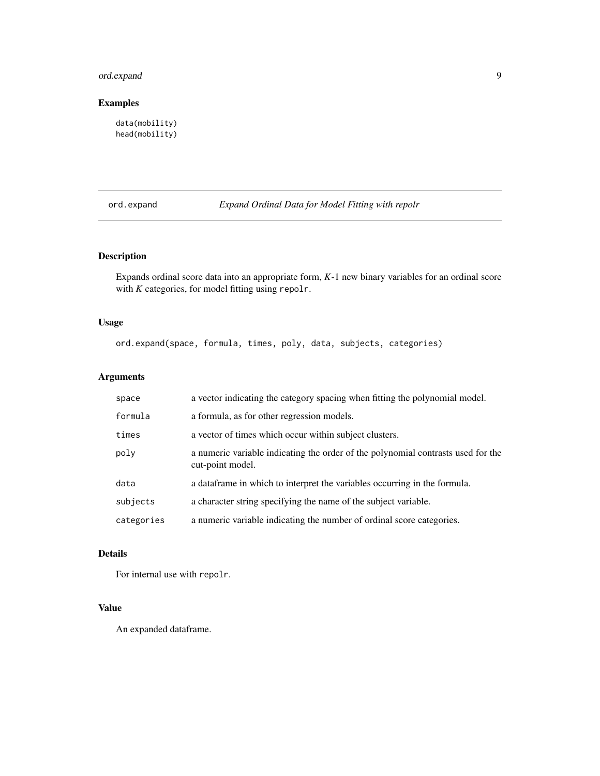### <span id="page-8-0"></span>ord.expand 9

#### Examples

```
data(mobility)
head(mobility)
```
ord.expand *Expand Ordinal Data for Model Fitting with repolr*

#### Description

Expands ordinal score data into an appropriate form, *K*-1 new binary variables for an ordinal score with *K* categories, for model fitting using repolr.

#### Usage

ord.expand(space, formula, times, poly, data, subjects, categories)

#### Arguments

| space      | a vector indicating the category spacing when fitting the polynomial model.                          |
|------------|------------------------------------------------------------------------------------------------------|
| formula    | a formula, as for other regression models.                                                           |
| times      | a vector of times which occur within subject clusters.                                               |
| poly       | a numeric variable indicating the order of the polynomial contrasts used for the<br>cut-point model. |
| data       | a data frame in which to interpret the variables occurring in the formula.                           |
| subjects   | a character string specifying the name of the subject variable.                                      |
| categories | a numeric variable indicating the number of ordinal score categories.                                |

#### Details

For internal use with repolr.

#### Value

An expanded dataframe.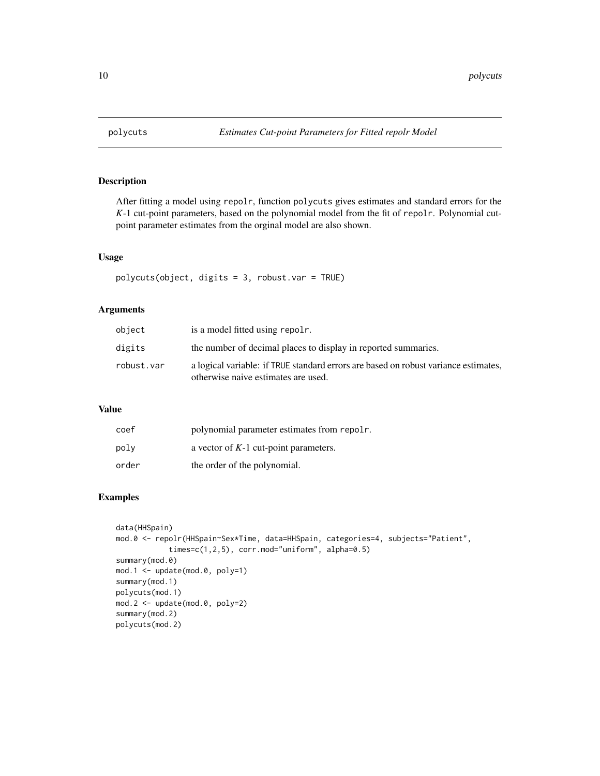<span id="page-9-1"></span><span id="page-9-0"></span>

After fitting a model using repolr, function polycuts gives estimates and standard errors for the *K*-1 cut-point parameters, based on the polynomial model from the fit of repolr. Polynomial cutpoint parameter estimates from the orginal model are also shown.

#### Usage

polycuts(object, digits = 3, robust.var = TRUE)

#### Arguments

| object     | is a model fitted using repole.                                                                                            |
|------------|----------------------------------------------------------------------------------------------------------------------------|
| digits     | the number of decimal places to display in reported summaries.                                                             |
| robust.var | a logical variable: if TRUE standard errors are based on robust variance estimates,<br>otherwise naive estimates are used. |

#### Value

| coef  | polynomial parameter estimates from repoling |
|-------|----------------------------------------------|
| poly  | a vector of $K-1$ cut-point parameters.      |
| order | the order of the polynomial.                 |

```
data(HHSpain)
mod.0 <- repolr(HHSpain~Sex*Time, data=HHSpain, categories=4, subjects="Patient",
            times=c(1,2,5), corr.mod="uniform", alpha=0.5)
summary(mod.0)
mod.1 <- update(mod.0, poly=1)
summary(mod.1)
polycuts(mod.1)
mod.2 <- update(mod.0, poly=2)
summary(mod.2)
polycuts(mod.2)
```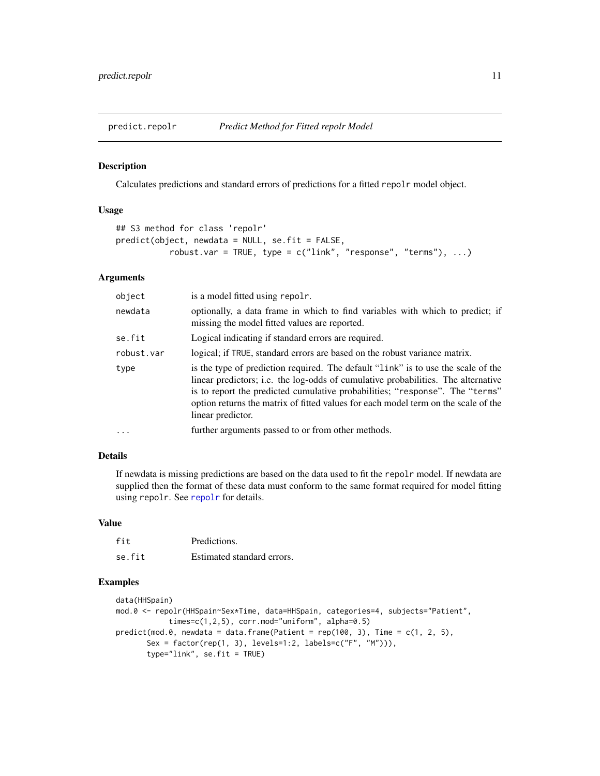<span id="page-10-0"></span>

Calculates predictions and standard errors of predictions for a fitted repolr model object.

#### Usage

```
## S3 method for class 'repolr'
predict(object, newdata = NULL, se.fit = FALSE,
           robust.var = TRUE, type = c("link", "response", "terms"), ...)
```
#### Arguments

| object     | is a model fitted using repolr.                                                                                                                                                                                                                                                                                                                                   |
|------------|-------------------------------------------------------------------------------------------------------------------------------------------------------------------------------------------------------------------------------------------------------------------------------------------------------------------------------------------------------------------|
| newdata    | optionally, a data frame in which to find variables with which to predict; if<br>missing the model fitted values are reported.                                                                                                                                                                                                                                    |
| se.fit     | Logical indicating if standard errors are required.                                                                                                                                                                                                                                                                                                               |
| robust.var | logical; if TRUE, standard errors are based on the robust variance matrix.                                                                                                                                                                                                                                                                                        |
| type       | is the type of prediction required. The default "link" is to use the scale of the<br>linear predictors; i.e. the log-odds of cumulative probabilities. The alternative<br>is to report the predicted cumulative probabilities; "response". The "terms"<br>option returns the matrix of fitted values for each model term on the scale of the<br>linear predictor. |
| $\cdots$   | further arguments passed to or from other methods.                                                                                                                                                                                                                                                                                                                |

#### Details

If newdata is missing predictions are based on the data used to fit the repolr model. If newdata are supplied then the format of these data must conform to the same format required for model fitting using repolr. See [repolr](#page-1-1) for details.

#### Value

| fit    | Predictions.               |
|--------|----------------------------|
| se.fit | Estimated standard errors. |

```
data(HHSpain)
mod.0 <- repolr(HHSpain~Sex*Time, data=HHSpain, categories=4, subjects="Patient",
            times=c(1,2,5), corr.mod="uniform", alpha=0.5)
predict(mod.0, newdata = data.frame(Patient = rep(100, 3), Time = c(1, 2, 5),Sex = factor(rep(1, 3), levels=1:2, labels=c("F", "M"))),
       type="link", se.fit = TRUE)
```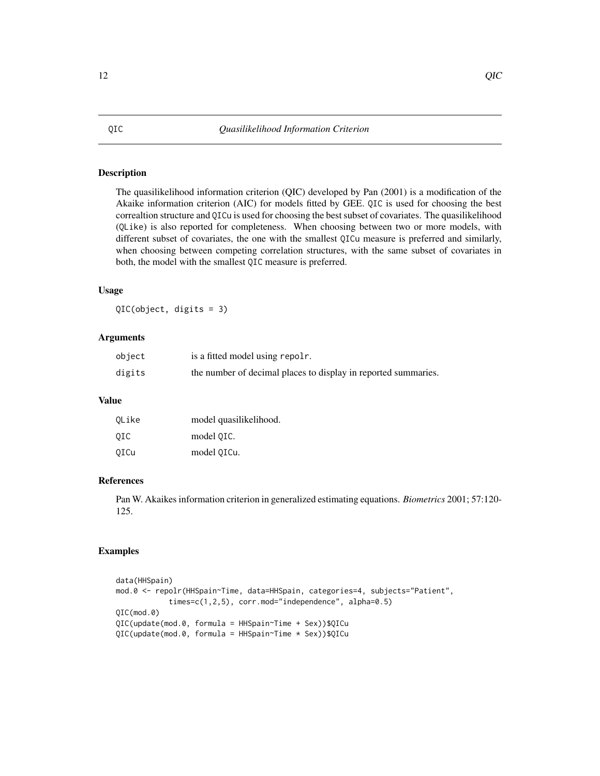The quasilikelihood information criterion (QIC) developed by Pan (2001) is a modification of the Akaike information criterion (AIC) for models fitted by GEE. QIC is used for choosing the best correaltion structure and QICu is used for choosing the best subset of covariates. The quasilikelihood (QLike) is also reported for completeness. When choosing between two or more models, with different subset of covariates, the one with the smallest QICu measure is preferred and similarly, when choosing between competing correlation structures, with the same subset of covariates in both, the model with the smallest QIC measure is preferred.

#### Usage

QIC(object, digits = 3)

#### **Arguments**

| object | is a fitted model using repolr.                                |
|--------|----------------------------------------------------------------|
| digits | the number of decimal places to display in reported summaries. |

#### Value

| QLike | model quasilikelihood. |
|-------|------------------------|
| OIC   | model QIC.             |
| OICu  | model QICu.            |

#### References

Pan W. Akaikes information criterion in generalized estimating equations. *Biometrics* 2001; 57:120- 125.

#### Examples

```
data(HHSpain)
mod.0 <- repolr(HHSpain~Time, data=HHSpain, categories=4, subjects="Patient",
           times=c(1,2,5), corr.mod="independence", alpha=0.5)
QIC(mod.0)
QIC(update(mod.0, formula = HHSpain~Time + Sex))$QICu
QIC(update(mod.0, formula = HHSpain~Time * Sex))$QICu
```
#### <span id="page-11-1"></span><span id="page-11-0"></span>12 QIC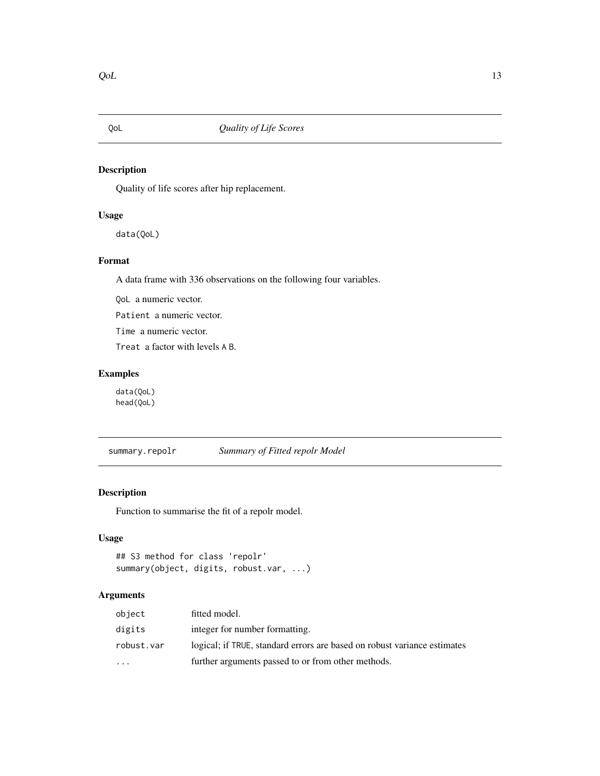<span id="page-12-1"></span><span id="page-12-0"></span>

Quality of life scores after hip replacement.

#### Usage

data(QoL)

#### Format

A data frame with 336 observations on the following four variables.

QoL a numeric vector.

Patient a numeric vector.

Time a numeric vector.

Treat a factor with levels A B.

#### Examples

data(QoL) head(QoL)

summary.repolr *Summary of Fitted repolr Model*

#### Description

Function to summarise the fit of a repolr model.

#### Usage

```
## S3 method for class 'repolr'
summary(object, digits, robust.var, ...)
```
#### Arguments

| object     | fitted model.                                                            |
|------------|--------------------------------------------------------------------------|
| digits     | integer for number formatting.                                           |
| robust.var | logical; if TRUE, standard errors are based on robust variance estimates |
| $\cdots$   | further arguments passed to or from other methods.                       |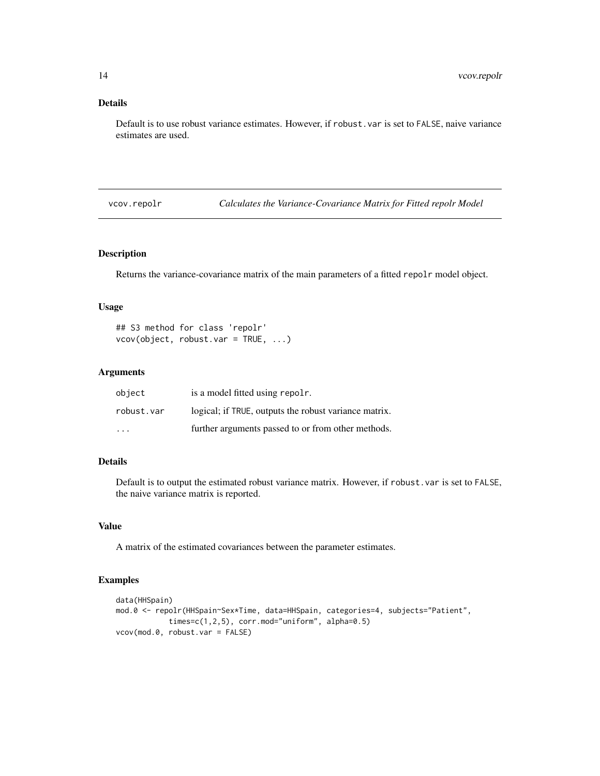#### <span id="page-13-0"></span>Details

Default is to use robust variance estimates. However, if robust.var is set to FALSE, naive variance estimates are used.

vcov.repolr *Calculates the Variance-Covariance Matrix for Fitted repolr Model*

#### Description

Returns the variance-covariance matrix of the main parameters of a fitted repolr model object.

#### Usage

```
## S3 method for class 'repolr'
vcov(object, robust.var = TRUE, ...)
```
#### Arguments

| object                  | is a model fitted using repoling.                     |
|-------------------------|-------------------------------------------------------|
| robust.var              | logical; if TRUE, outputs the robust variance matrix. |
| $\cdot$ $\cdot$ $\cdot$ | further arguments passed to or from other methods.    |

#### Details

Default is to output the estimated robust variance matrix. However, if robust.var is set to FALSE, the naive variance matrix is reported.

#### Value

A matrix of the estimated covariances between the parameter estimates.

```
data(HHSpain)
mod.0 <- repolr(HHSpain~Sex*Time, data=HHSpain, categories=4, subjects="Patient",
            times=c(1,2,5), corr.mod="uniform", alpha=0.5)
vcov(mod.0, robust.var = FALSE)
```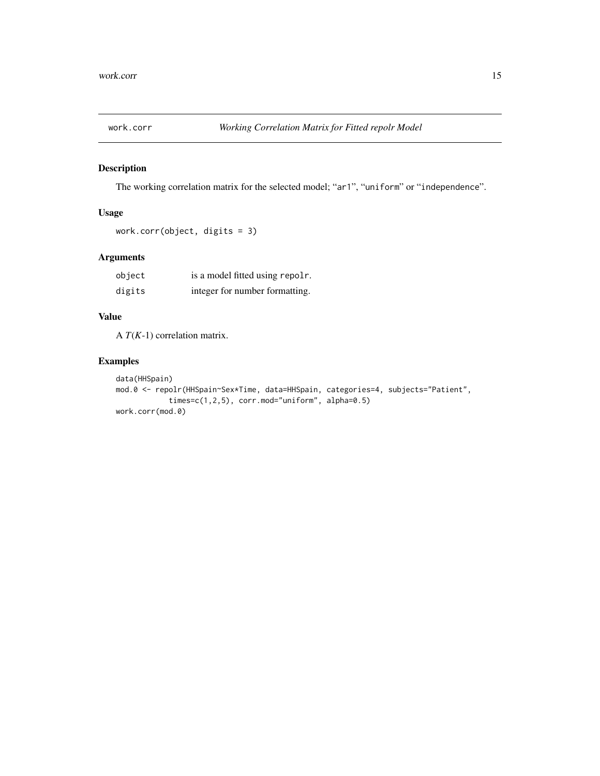<span id="page-14-1"></span><span id="page-14-0"></span>

The working correlation matrix for the selected model; "ar1", "uniform" or "independence".

#### Usage

work.corr(object, digits = 3)

#### Arguments

| object | is a model fitted using repolr. |
|--------|---------------------------------|
| digits | integer for number formatting.  |

#### Value

A *T*(*K*-1) correlation matrix.

```
data(HHSpain)
mod.0 <- repolr(HHSpain~Sex*Time, data=HHSpain, categories=4, subjects="Patient",
            times=c(1,2,5), corr.mod="uniform", alpha=0.5)
work.corr(mod.0)
```